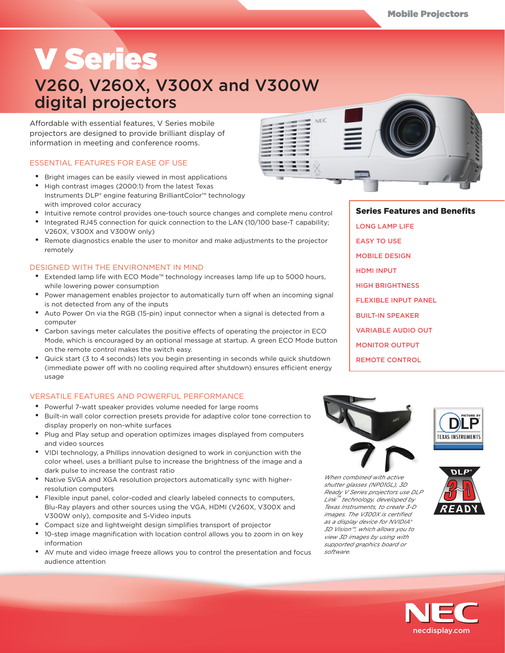# V Series

# V260, V260X, V300X and V300W digital projectors

Affordable with essential features, V Series mobile projectors are designed to provide brilliant display of information in meeting and conference rooms.

# ESSENTIAL FEATURES FOR EASE OF USE

- • Bright images can be easily viewed in most applications
- • High contrast images (2000:1) from the latest Texas Instruments DLP® engine featuring BrilliantColor™ technology with improved color accuracy
- Intuitive remote control provides one-touch source changes and complete menu control
- Integrated RJ45 connection for quick connection to the LAN (10/100 base-T capability; V260X, V300X and V300W only)
- Remote diagnostics enable the user to monitor and make adjustments to the projector remotely

# DESIGNED WITH THE ENVIRONMENT IN MIND

- • Extended lamp life with ECO Mode™ technology increases lamp life up to 5000 hours, while lowering power consumption
- • Power management enables projector to automatically turn off when an incoming signal is not detected from any of the inputs
- Auto Power On via the RGB (15-pin) input connector when a signal is detected from a computer
- • Carbon savings meter calculates the positive effects of operating the projector in ECO Mode, which is encouraged by an optional message at startup. A green ECO Mode button on the remote control makes the switch easy.
- • Quick start (3 to 4 seconds) lets you begin presenting in seconds while quick shutdown (immediate power off with no cooling required after shutdown) ensures efficient energy usage

# VERSATILE FEATURES AND POWERFUL PERFORMANCE

- Powerful 7-watt speaker provides volume needed for large rooms
- • Built-in wall color correction presets provide for adaptive color tone correction to display properly on non-white surfaces
- • Plug and Play setup and operation optimizes images displayed from computers and video sources
- • VIDI technology, a Phillips innovation designed to work in conjunction with the color wheel, uses a brilliant pulse to increase the brightness of the image and a dark pulse to increase the contrast ratio
- Native SVGA and XGA resolution projectors automatically sync with higherresolution computers
- • Flexible input panel, color-coded and clearly labeled connects to computers, Blu-Ray players and other sources using the VGA, HDMI (V260X, V300X and V300W only), composite and S-Video inputs
- • Compact size and lightweight design simplifies transport of projector
- • 10-step image magnification with location control allows you to zoom in on key information
- • AV mute and video image freeze allows you to control the presentation and focus audience attention



# Series Features and Benefits

LONG LAMP LIFE EASY TO USE MOBILE DESIGN HDMI INPUT HIGH BRIGHTNESS FLEXIBLE INPUT PANEL BUILT-IN SPEAKER VARIABLE AUDIO OUT MONITOR OUTPUT

REMOTE CONTROL



*When combined with active shutter glasses (NP01GL), 3D Ready V Series projectors use DLP Link™ technology, developed by Texas Instruments, to create 3-D images. The V300X is certified as a display device for NVIDIA® 3D Vision™, which allows you to view 3D images by using with supported graphics board or software.*